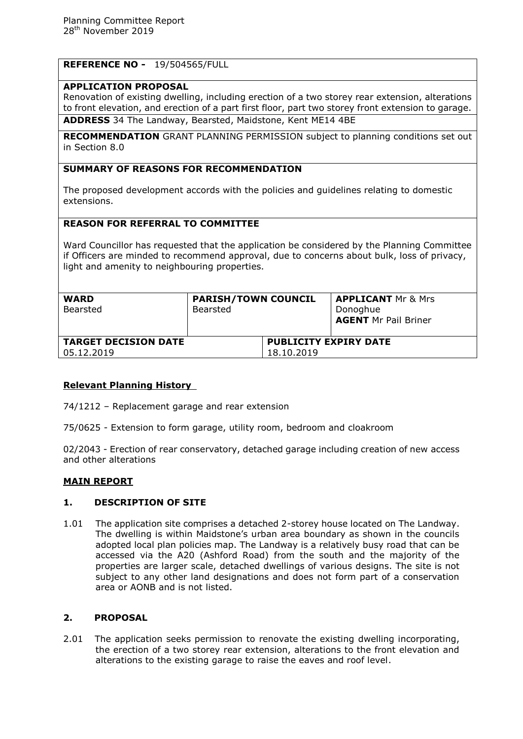# **REFERENCE NO -** 19/504565/FULL

#### **APPLICATION PROPOSAL**

Renovation of existing dwelling, including erection of a two storey rear extension, alterations to front elevation, and erection of a part first floor, part two storey front extension to garage. **ADDRESS** 34 The Landway, Bearsted, Maidstone, Kent ME14 4BE

**RECOMMENDATION** GRANT PLANNING PERMISSION subject to planning conditions set out in Section 8.0

## **SUMMARY OF REASONS FOR RECOMMENDATION**

The proposed development accords with the policies and guidelines relating to domestic extensions.

## **REASON FOR REFERRAL TO COMMITTEE**

Ward Councillor has requested that the application be considered by the Planning Committee if Officers are minded to recommend approval, due to concerns about bulk, loss of privacy, light and amenity to neighbouring properties.

| <b>WARD</b><br>Bearsted     | <b>PARISH/TOWN COUNCIL</b><br><b>Bearsted</b> |                              | <b>APPLICANT</b> Mr & Mrs<br>Donoghue<br><b>AGENT Mr Pail Briner</b> |
|-----------------------------|-----------------------------------------------|------------------------------|----------------------------------------------------------------------|
| <b>TARGET DECISION DATE</b> |                                               | <b>PUBLICITY EXPIRY DATE</b> |                                                                      |
| 05.12.2019                  |                                               | 18.10.2019                   |                                                                      |

## **Relevant Planning History**

74/1212 – Replacement garage and rear extension

75/0625 - Extension to form garage, utility room, bedroom and cloakroom

02/2043 - Erection of rear conservatory, detached garage including creation of new access and other alterations

#### **MAIN REPORT**

#### **1. DESCRIPTION OF SITE**

1.01 The application site comprises a detached 2-storey house located on The Landway. The dwelling is within Maidstone's urban area boundary as shown in the councils adopted local plan policies map. The Landway is a relatively busy road that can be accessed via the A20 (Ashford Road) from the south and the majority of the properties are larger scale, detached dwellings of various designs. The site is not subject to any other land designations and does not form part of a conservation area or AONB and is not listed.

#### **2. PROPOSAL**

2.01 The application seeks permission to renovate the existing dwelling incorporating, the erection of a two storey rear extension, alterations to the front elevation and alterations to the existing garage to raise the eaves and roof level.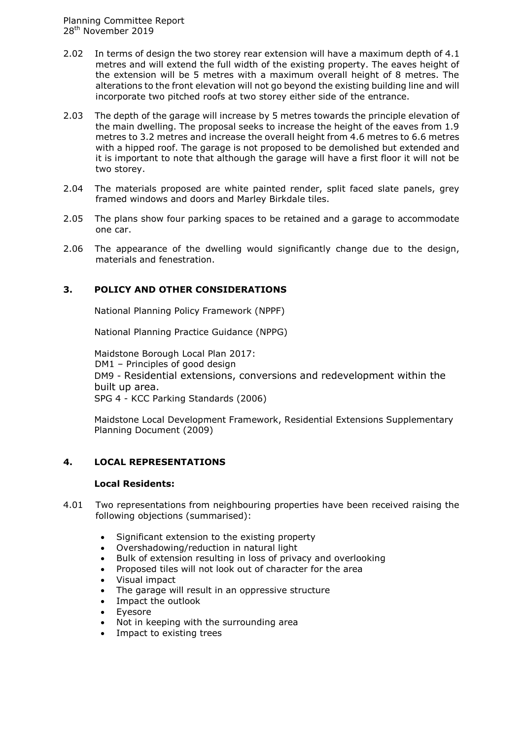- 2.02 In terms of design the two storey rear extension will have a maximum depth of 4.1 metres and will extend the full width of the existing property. The eaves height of the extension will be 5 metres with a maximum overall height of 8 metres. The alterations to the front elevation will not go beyond the existing building line and will incorporate two pitched roofs at two storey either side of the entrance.
- 2.03 The depth of the garage will increase by 5 metres towards the principle elevation of the main dwelling. The proposal seeks to increase the height of the eaves from 1.9 metres to 3.2 metres and increase the overall height from 4.6 metres to 6.6 metres with a hipped roof. The garage is not proposed to be demolished but extended and it is important to note that although the garage will have a first floor it will not be two storey.
- 2.04 The materials proposed are white painted render, split faced slate panels, grey framed windows and doors and Marley Birkdale tiles.
- 2.05 The plans show four parking spaces to be retained and a garage to accommodate one car.
- 2.06 The appearance of the dwelling would significantly change due to the design, materials and fenestration.

## **3. POLICY AND OTHER CONSIDERATIONS**

National Planning Policy Framework (NPPF)

National Planning Practice Guidance (NPPG)

Maidstone Borough Local Plan 2017: DM1 – Principles of good design DM9 - Residential extensions, conversions and redevelopment within the built up area. SPG 4 - KCC Parking Standards (2006)

Maidstone Local Development Framework, Residential Extensions Supplementary Planning Document (2009)

#### **4. LOCAL REPRESENTATIONS**

#### **Local Residents:**

- 4.01 Two representations from neighbouring properties have been received raising the following objections (summarised):
	- Significant extension to the existing property
	- Overshadowing/reduction in natural light
	- Bulk of extension resulting in loss of privacy and overlooking
	- Proposed tiles will not look out of character for the area
	- Visual impact
	- The garage will result in an oppressive structure
	- Impact the outlook
	- Eyesore
	- Not in keeping with the surrounding area
	- Impact to existing trees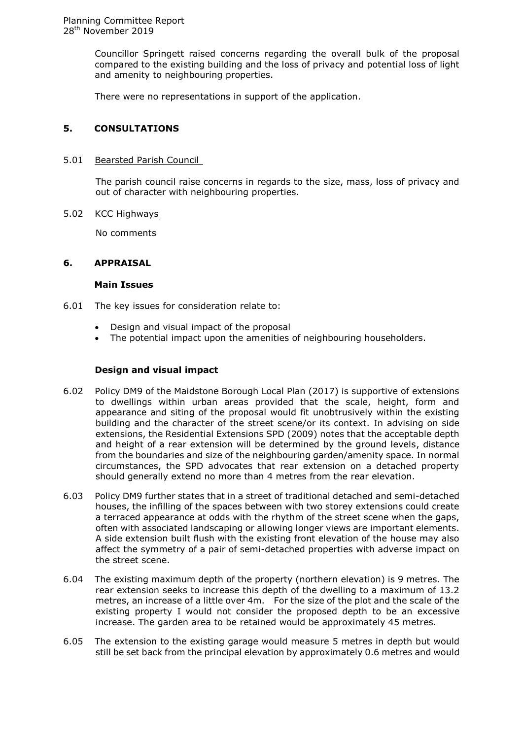Councillor Springett raised concerns regarding the overall bulk of the proposal compared to the existing building and the loss of privacy and potential loss of light and amenity to neighbouring properties.

There were no representations in support of the application.

## **5. CONSULTATIONS**

#### 5.01 Bearsted Parish Council

The parish council raise concerns in regards to the size, mass, loss of privacy and out of character with neighbouring properties.

#### 5.02 KCC Highways

No comments

#### **6. APPRAISAL**

#### **Main Issues**

- 6.01 The key issues for consideration relate to:
	- Design and visual impact of the proposal
	- The potential impact upon the amenities of neighbouring householders.

#### **Design and visual impact**

- 6.02 Policy DM9 of the Maidstone Borough Local Plan (2017) is supportive of extensions to dwellings within urban areas provided that the scale, height, form and appearance and siting of the proposal would fit unobtrusively within the existing building and the character of the street scene/or its context. In advising on side extensions, the Residential Extensions SPD (2009) notes that the acceptable depth and height of a rear extension will be determined by the ground levels, distance from the boundaries and size of the neighbouring garden/amenity space. In normal circumstances, the SPD advocates that rear extension on a detached property should generally extend no more than 4 metres from the rear elevation.
- 6.03 Policy DM9 further states that in a street of traditional detached and semi-detached houses, the infilling of the spaces between with two storey extensions could create a terraced appearance at odds with the rhythm of the street scene when the gaps, often with associated landscaping or allowing longer views are important elements. A side extension built flush with the existing front elevation of the house may also affect the symmetry of a pair of semi-detached properties with adverse impact on the street scene.
- 6.04 The existing maximum depth of the property (northern elevation) is 9 metres. The rear extension seeks to increase this depth of the dwelling to a maximum of 13.2 metres, an increase of a little over 4m. For the size of the plot and the scale of the existing property I would not consider the proposed depth to be an excessive increase. The garden area to be retained would be approximately 45 metres.
- 6.05 The extension to the existing garage would measure 5 metres in depth but would still be set back from the principal elevation by approximately 0.6 metres and would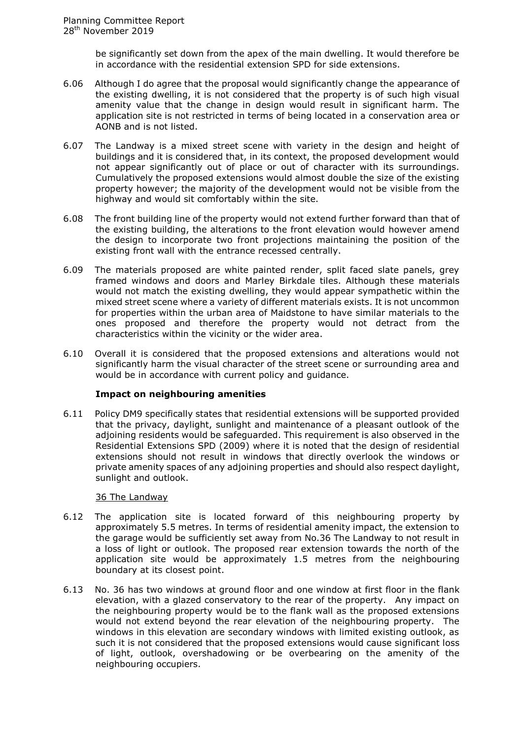be significantly set down from the apex of the main dwelling. It would therefore be in accordance with the residential extension SPD for side extensions.

- 6.06 Although I do agree that the proposal would significantly change the appearance of the existing dwelling, it is not considered that the property is of such high visual amenity value that the change in design would result in significant harm. The application site is not restricted in terms of being located in a conservation area or AONB and is not listed.
- 6.07 The Landway is a mixed street scene with variety in the design and height of buildings and it is considered that, in its context, the proposed development would not appear significantly out of place or out of character with its surroundings. Cumulatively the proposed extensions would almost double the size of the existing property however; the majority of the development would not be visible from the highway and would sit comfortably within the site.
- 6.08 The front building line of the property would not extend further forward than that of the existing building, the alterations to the front elevation would however amend the design to incorporate two front projections maintaining the position of the existing front wall with the entrance recessed centrally.
- 6.09 The materials proposed are white painted render, split faced slate panels, grey framed windows and doors and Marley Birkdale tiles. Although these materials would not match the existing dwelling, they would appear sympathetic within the mixed street scene where a variety of different materials exists. It is not uncommon for properties within the urban area of Maidstone to have similar materials to the ones proposed and therefore the property would not detract from the characteristics within the vicinity or the wider area.
- 6.10 Overall it is considered that the proposed extensions and alterations would not significantly harm the visual character of the street scene or surrounding area and would be in accordance with current policy and guidance.

#### **Impact on neighbouring amenities**

6.11 Policy DM9 specifically states that residential extensions will be supported provided that the privacy, daylight, sunlight and maintenance of a pleasant outlook of the adjoining residents would be safeguarded. This requirement is also observed in the Residential Extensions SPD (2009) where it is noted that the design of residential extensions should not result in windows that directly overlook the windows or private amenity spaces of any adjoining properties and should also respect daylight, sunlight and outlook.

### 36 The Landway

- 6.12 The application site is located forward of this neighbouring property by approximately 5.5 metres. In terms of residential amenity impact, the extension to the garage would be sufficiently set away from No.36 The Landway to not result in a loss of light or outlook. The proposed rear extension towards the north of the application site would be approximately 1.5 metres from the neighbouring boundary at its closest point.
- 6.13 No. 36 has two windows at ground floor and one window at first floor in the flank elevation, with a glazed conservatory to the rear of the property. Any impact on the neighbouring property would be to the flank wall as the proposed extensions would not extend beyond the rear elevation of the neighbouring property. The windows in this elevation are secondary windows with limited existing outlook, as such it is not considered that the proposed extensions would cause significant loss of light, outlook, overshadowing or be overbearing on the amenity of the neighbouring occupiers.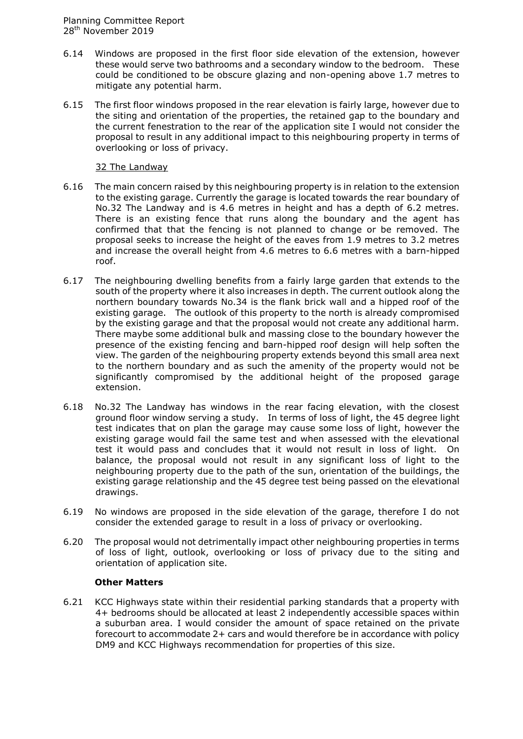- 6.14 Windows are proposed in the first floor side elevation of the extension, however these would serve two bathrooms and a secondary window to the bedroom. These could be conditioned to be obscure glazing and non-opening above 1.7 metres to mitigate any potential harm.
- 6.15 The first floor windows proposed in the rear elevation is fairly large, however due to the siting and orientation of the properties, the retained gap to the boundary and the current fenestration to the rear of the application site I would not consider the proposal to result in any additional impact to this neighbouring property in terms of overlooking or loss of privacy.

## 32 The Landway

- 6.16 The main concern raised by this neighbouring property is in relation to the extension to the existing garage. Currently the garage is located towards the rear boundary of No.32 The Landway and is 4.6 metres in height and has a depth of 6.2 metres. There is an existing fence that runs along the boundary and the agent has confirmed that that the fencing is not planned to change or be removed. The proposal seeks to increase the height of the eaves from 1.9 metres to 3.2 metres and increase the overall height from 4.6 metres to 6.6 metres with a barn-hipped roof.
- 6.17 The neighbouring dwelling benefits from a fairly large garden that extends to the south of the property where it also increases in depth. The current outlook along the northern boundary towards No.34 is the flank brick wall and a hipped roof of the existing garage. The outlook of this property to the north is already compromised by the existing garage and that the proposal would not create any additional harm. There maybe some additional bulk and massing close to the boundary however the presence of the existing fencing and barn-hipped roof design will help soften the view. The garden of the neighbouring property extends beyond this small area next to the northern boundary and as such the amenity of the property would not be significantly compromised by the additional height of the proposed garage extension.
- 6.18 No.32 The Landway has windows in the rear facing elevation, with the closest ground floor window serving a study. In terms of loss of light, the 45 degree light test indicates that on plan the garage may cause some loss of light, however the existing garage would fail the same test and when assessed with the elevational test it would pass and concludes that it would not result in loss of light. On balance, the proposal would not result in any significant loss of light to the neighbouring property due to the path of the sun, orientation of the buildings, the existing garage relationship and the 45 degree test being passed on the elevational drawings.
- 6.19 No windows are proposed in the side elevation of the garage, therefore I do not consider the extended garage to result in a loss of privacy or overlooking.
- 6.20 The proposal would not detrimentally impact other neighbouring properties in terms of loss of light, outlook, overlooking or loss of privacy due to the siting and orientation of application site.

## **Other Matters**

6.21 KCC Highways state within their residential parking standards that a property with 4+ bedrooms should be allocated at least 2 independently accessible spaces within a suburban area. I would consider the amount of space retained on the private forecourt to accommodate 2+ cars and would therefore be in accordance with policy DM9 and KCC Highways recommendation for properties of this size.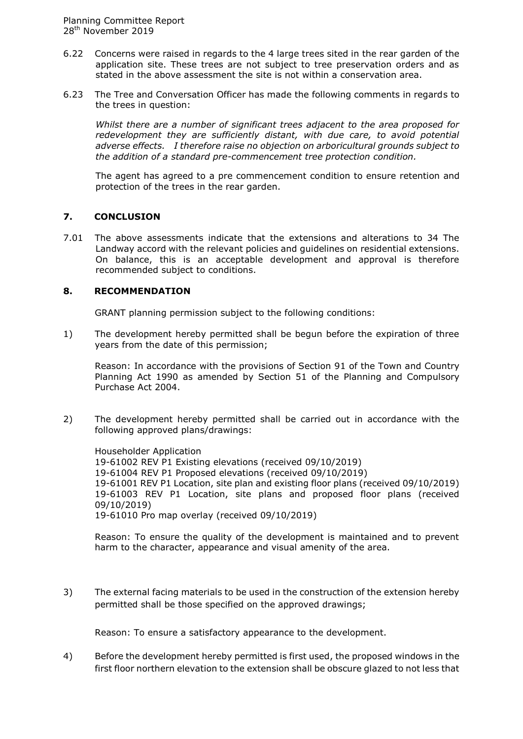- 6.22 Concerns were raised in regards to the 4 large trees sited in the rear garden of the application site. These trees are not subject to tree preservation orders and as stated in the above assessment the site is not within a conservation area.
- 6.23 The Tree and Conversation Officer has made the following comments in regards to the trees in question:

*Whilst there are a number of significant trees adjacent to the area proposed for redevelopment they are sufficiently distant, with due care, to avoid potential adverse effects. I therefore raise no objection on arboricultural grounds subject to the addition of a standard pre-commencement tree protection condition.*

The agent has agreed to a pre commencement condition to ensure retention and protection of the trees in the rear garden.

## **7. CONCLUSION**

7.01 The above assessments indicate that the extensions and alterations to 34 The Landway accord with the relevant policies and guidelines on residential extensions. On balance, this is an acceptable development and approval is therefore recommended subject to conditions.

#### **8. RECOMMENDATION**

GRANT planning permission subject to the following conditions:

1) The development hereby permitted shall be begun before the expiration of three years from the date of this permission;

Reason: In accordance with the provisions of Section 91 of the Town and Country Planning Act 1990 as amended by Section 51 of the Planning and Compulsory Purchase Act 2004.

2) The development hereby permitted shall be carried out in accordance with the following approved plans/drawings:

Householder Application 19-61002 REV P1 Existing elevations (received 09/10/2019) 19-61004 REV P1 Proposed elevations (received 09/10/2019) 19-61001 REV P1 Location, site plan and existing floor plans (received 09/10/2019) 19-61003 REV P1 Location, site plans and proposed floor plans (received 09/10/2019) 19-61010 Pro map overlay (received 09/10/2019)

Reason: To ensure the quality of the development is maintained and to prevent harm to the character, appearance and visual amenity of the area.

3) The external facing materials to be used in the construction of the extension hereby permitted shall be those specified on the approved drawings;

Reason: To ensure a satisfactory appearance to the development.

4) Before the development hereby permitted is first used, the proposed windows in the first floor northern elevation to the extension shall be obscure glazed to not less that